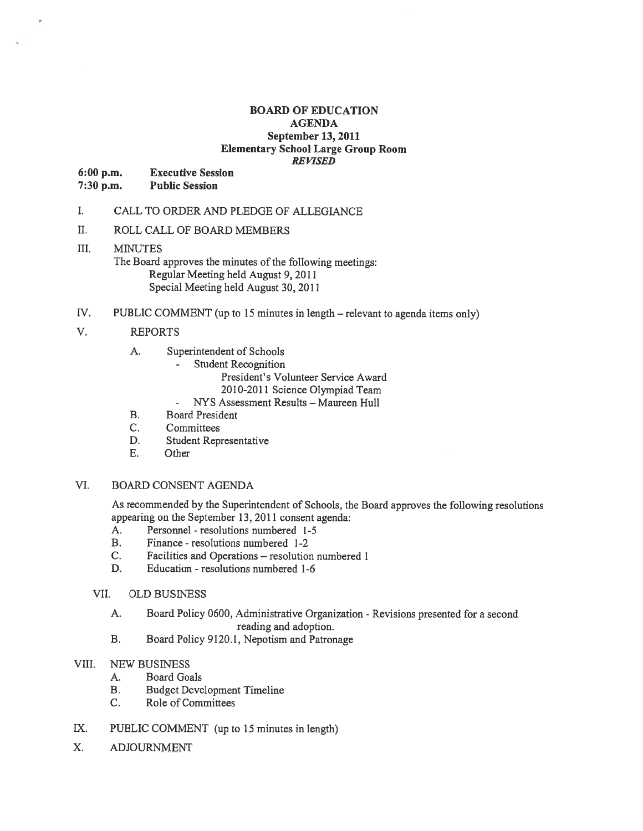#### BOARD OF EDUCATION AGENDA September 13, 2011 Elementary School Large Group Room **REVISED**

6:00 p.m. Executive Session

7:30 p.m. Public Session

- I. CALL TO ORDER AND PLEDGE OF ALLEGIANCE
- II. ROLL CALL OF BOARD MEMBERS

## III. MINUTES

The Board approves the minutes of the following meetings: Regular Meeting held August 9, 2011 Special Meeting held August 30, 2011

IV. PUBLIC COMMENT (up to 15 minutes in length — relevant to agenda items only)

## V. REPORTS

- A. Superintendent of Schools
	- Student Recognition
		- President's Volunteer Service Award
		- 2010-2011 Science Olympiad Team
	- NYS Assessment Results Maureen Hull
- B. Board President
- C. Committees
- D. Student Representative
- E. Other

## VI. BOARD CONSENT AGENDA

As recommended by the Superintendent of Schools, the Board approves the following resolutions appearing on the September 13, 2011 consent agenda:

- A. Personnel resolutions numbered 1-5
- B. Finance resolutions numbered 1-2
- C. Facilities and Operations resolution numbered 1
- D. Education resolutions numbered 1-6

## VII. OLD BUSINESS

- A. Board Policy 0600, Administrative Organization -Revisions presented for <sup>a</sup> second reading and adoption.
- B. Board Policy 9120.1, Nepotism and Patronage

## VIII. NEW BUSINESS

- A. Board Goals
- B. Budget Development Timeline
- C. Role of Committees
- IX. PUBLIC COMMENT (up to 15 minutes in length)
- X. ADJOURNMENT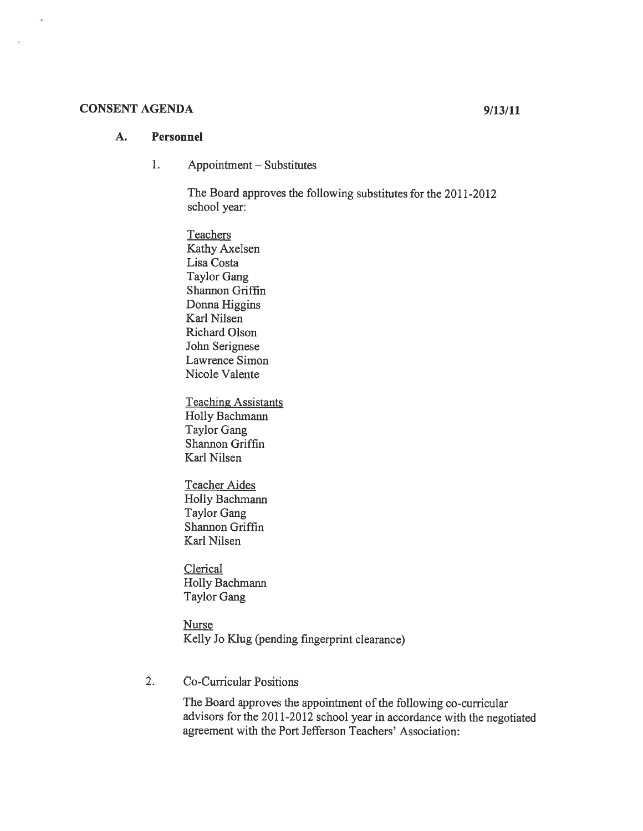## CONSENT AGENDA 9/13/11

## A. Personnel

1. Appointment — Substitutes

> The Board approves the following substitutes for the 2011-2012 school year:

Teachers Kathy Axelsen Lisa Costa Taylor Gang Shannon Griffin Donna Higgins Karl Nilsen Richard Olson John Serignese Lawrence Simon Nicole Valente

Teaching Assistants Holly Bachmann Taylor Gang Shannon Griffin Karl Nilsen

Teacher Aides Holly Bachmann Taylor Gang Shannon Griffin Karl Nilsen

**Clerical** Holly Bachmann Taylor Gang

**Nurse** Kelly J0 Klug (pending fingerprint clearance)

2. Co-Curricular Positions

The Board approves the appointment of the following co-curricular advisors for the 2011-2012 school year in accordance with the negotiated agreemen<sup>t</sup> with the Port Jefferson Teachers' Association: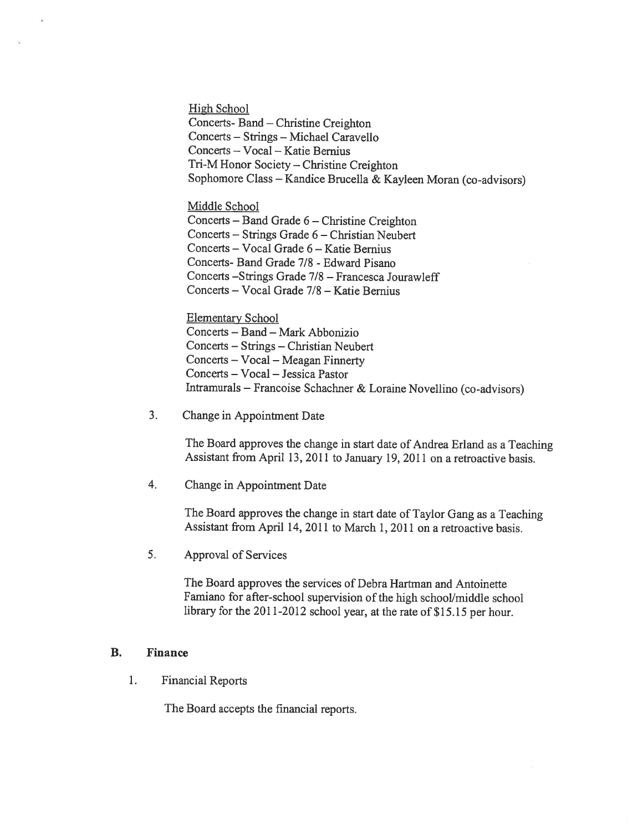High School Concerts- Band — Christine Creighton Concerts — Strings — Michael Caravello Concerts — Vocal — Katie Bernius Tri-M Honor Society — Christine Creighton Sophomore Class — Kandice Brucella & Kayleen Moran (co-advisors)

Middle School Concerts — Band Grade <sup>6</sup> — Christine Creighton Concerts — Strings Grade 6 — Christian Neubert Concerts — Vocal Grade 6— Katie Bemius Concerts- Band Grade 7/8 - Edward Pisano Concerts —Strings Grade 7/8 — Francesca Jourawleff Concerts — Vocal Grade 7/8 — Katie Bernius

Elementary School Concerts — Band — Mark Abbonizio Concerts — Strings — Christian Neubert Concerts — Vocal — Meagan Finnerty Concerts — Vocal — Jessica Pastor Intramurals — Francoise Schachner & Loraine Novellino (co-advisors)

3. Change in Appointment Date

The Board approves the change in start date of Andrea Erland as <sup>a</sup> Teaching Assistant from April 13, 2011 to January 19, 2011 on <sup>a</sup> retroactive basis.

4. Change in Appointment Date

The Board approves the change in start date of Taylor Gang as <sup>a</sup> Teaching Assistant from April 14, 2011 to March 1, 2011 on <sup>a</sup> retroactive basis.

5. Approval of Services

The Board approves the services of Debra Hartman and Antoinette Famiano for after-school supervision of the high school/middle school library for the 2011-2012 school year, at the rate of \$15.15 per hour.

## B. Finance

1. Financial Reports

The Board accepts the fmancial reports.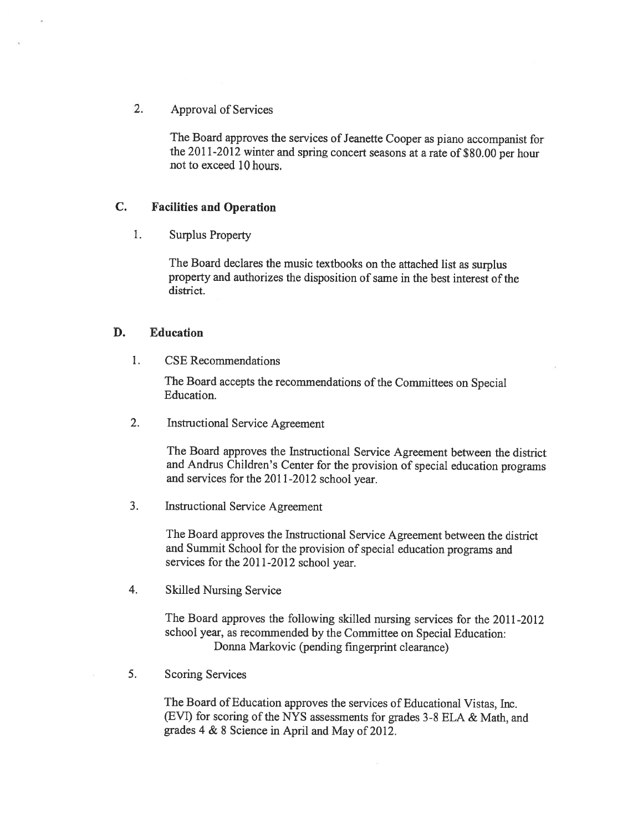## 2. Approval of Services

The Board approves the services of Jeanette Cooper as piano accompanist for the 2011-2012 winter and spring concert seasons at a rate of \$80.00 per hour not to exceed 10 hours.

## C. Facilities and Operation

1. Surplus Property

The Board declares the music textbooks on the attached list as surplus property and authorizes the disposition of same in the best interest of the district.

## B. Education

1. CSE Recommendations

The Board accepts the recommendations of the Committees on Special Education.

2. Instructional Service Agreement

The Board approves the Instructional Service Agreement between the district and Andrus Children's Center for the provision of special education programs and services for the 2011-2012 school year.

3. Instructional Service Agreement

The Board approves the Instructional Service Agreement between the district and Summit School for the provision of special education programs and services for the 2011-2012 school year.

4. Skilled Nursing Service

The Board approves the following skilled nursing services for the 2011-2012 school year, as recommended by the Committee on Special Education: Donna Markovic (pending fingerprint clearance)

5. Scoring Services

The Board of Education approves the services of Educational Vistas, Inc. (EVI) for scoring of the NYS assessments for grades 3-8 ELA & Math, and grades <sup>4</sup> & <sup>8</sup> Science in April and May of 2012.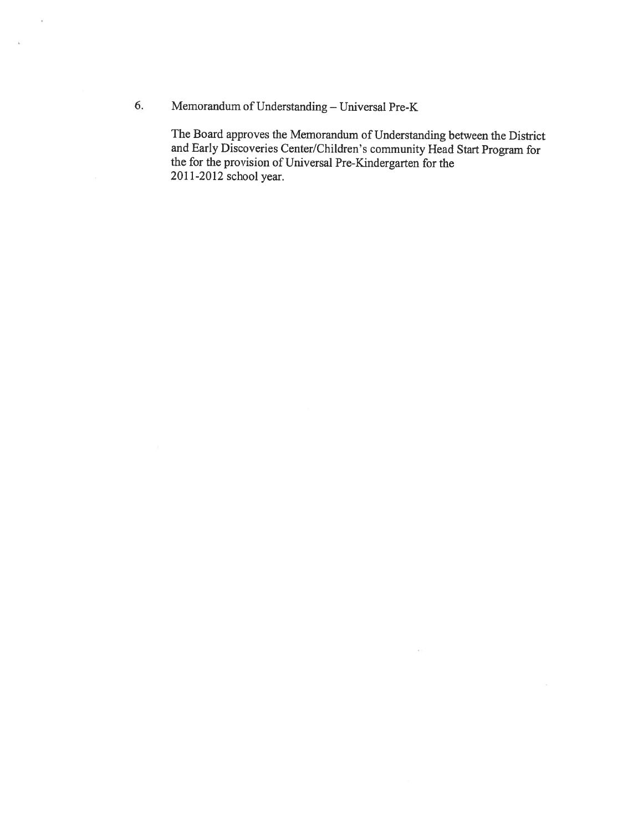6. Memorandum of Understanding — Universal Pre-K

 $\tilde{\mathbf{r}}$ 

 $\alpha$ 

The Board approves the Memorandum of Understanding between the District and Early Discoveries Center/Children's community Head Start Program for the for the provision of Universal Pre-Kindergarten for the 2011-2012 school year.

 $\bar{\psi}$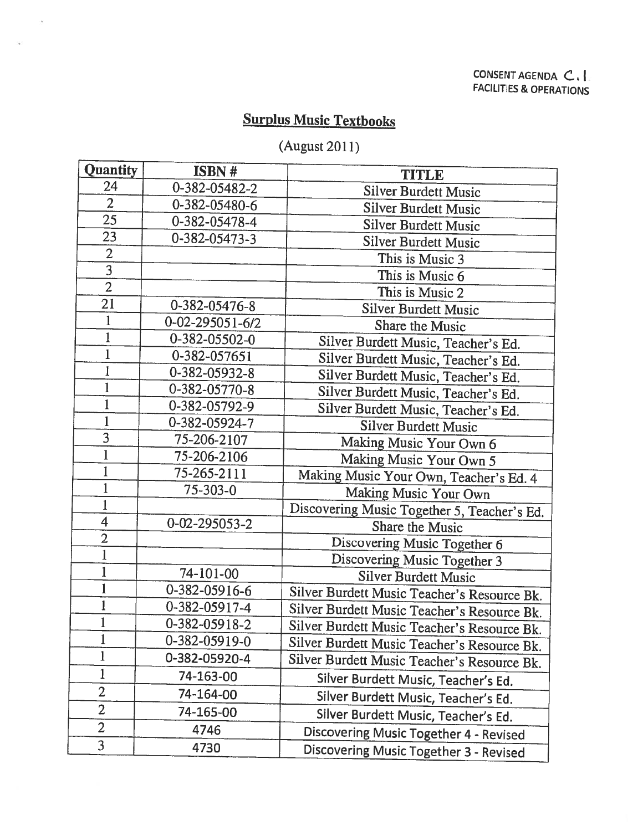## Surplus Music Textbooks

 $\bar{\alpha}$ 

 $\mathcal{L}$ 

# (August 2011)

| <b>Quantity</b> | ISBN #                  | <b>TITLE</b>                                |
|-----------------|-------------------------|---------------------------------------------|
| 24              | 0-382-05482-2           | <b>Silver Burdett Music</b>                 |
| $\overline{2}$  | 0-382-05480-6           | <b>Silver Burdett Music</b>                 |
| 25              | 0-382-05478-4           | <b>Silver Burdett Music</b>                 |
| 23              | 0-382-05473-3           | <b>Silver Burdett Music</b>                 |
| $\overline{2}$  |                         | This is Music 3                             |
| $\overline{3}$  |                         | This is Music 6                             |
| $\overline{2}$  |                         | This is Music 2                             |
| 21              | 0-382-05476-8           | <b>Silver Burdett Music</b>                 |
| 1               | $0 - 02 - 295051 - 6/2$ | Share the Music                             |
| $\mathbf 1$     | 0-382-05502-0           | Silver Burdett Music, Teacher's Ed.         |
|                 | 0-382-057651            | Silver Burdett Music, Teacher's Ed.         |
|                 | 0-382-05932-8           | Silver Burdett Music, Teacher's Ed.         |
|                 | 0-382-05770-8           | Silver Burdett Music, Teacher's Ed.         |
|                 | 0-382-05792-9           | Silver Burdett Music, Teacher's Ed.         |
| $\mathbf 1$     | 0-382-05924-7           | <b>Silver Burdett Music</b>                 |
| 3               | 75-206-2107             | Making Music Your Own 6                     |
| $\mathbf 1$     | 75-206-2106             | Making Music Your Own 5                     |
| 1               | 75-265-2111             | Making Music Your Own, Teacher's Ed. 4      |
| $\bf{1}$        | $75 - 303 - 0$          | Making Music Your Own                       |
| $\mathbf{1}$    |                         | Discovering Music Together 5, Teacher's Ed. |
| $\overline{4}$  | 0-02-295053-2           | Share the Music                             |
| $\overline{2}$  |                         | Discovering Music Together 6                |
| $\mathbf{1}$    |                         | Discovering Music Together 3                |
| $\mathbf{1}$    | 74-101-00               | <b>Silver Burdett Music</b>                 |
| $\mathbf{1}$    | 0-382-05916-6           | Silver Burdett Music Teacher's Resource Bk. |
|                 | 0-382-05917-4           | Silver Burdett Music Teacher's Resource Bk. |
|                 | 0-382-05918-2           | Silver Burdett Music Teacher's Resource Bk. |
| $\mathbf{1}$    | 0-382-05919-0           | Silver Burdett Music Teacher's Resource Bk. |
| 1               | 0-382-05920-4           | Silver Burdett Music Teacher's Resource Bk. |
| 1               | 74-163-00               | Silver Burdett Music, Teacher's Ed.         |
| $\overline{2}$  | 74-164-00               | Silver Burdett Music, Teacher's Ed.         |
| $\overline{2}$  | 74-165-00               | Silver Burdett Music, Teacher's Ed.         |
| $\overline{2}$  | 4746                    | Discovering Music Together 4 - Revised      |
| 3               | 4730                    | Discovering Music Together 3 - Revised      |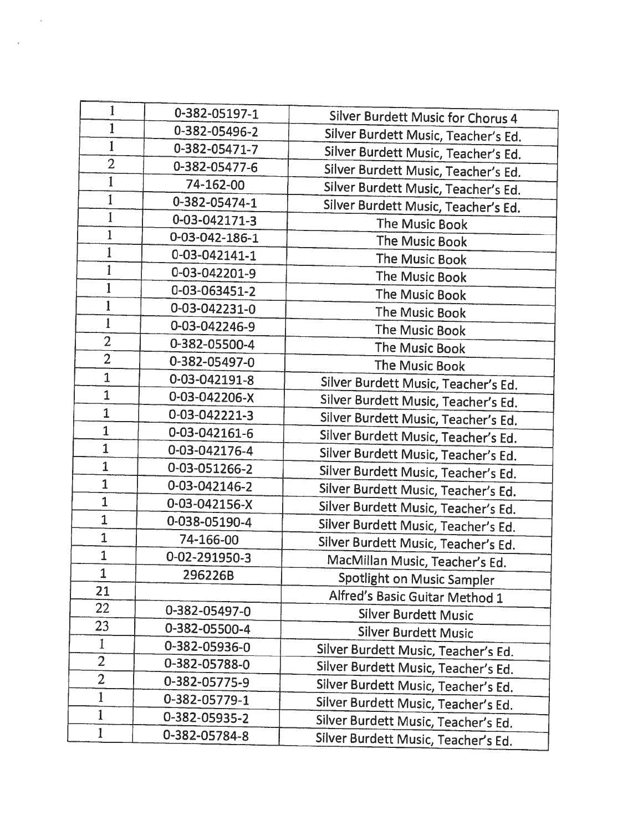| 1              | 0-382-05197-1  | Silver Burdett Music for Chorus 4   |
|----------------|----------------|-------------------------------------|
| $\mathbf{1}$   | 0-382-05496-2  | Silver Burdett Music, Teacher's Ed. |
| $\mathbf{1}$   | 0-382-05471-7  | Silver Burdett Music, Teacher's Ed. |
| $\overline{2}$ | 0-382-05477-6  | Silver Burdett Music, Teacher's Ed. |
| $\mathbf{1}$   | 74-162-00      | Silver Burdett Music, Teacher's Ed. |
| $\mathbf{1}$   | 0-382-05474-1  | Silver Burdett Music, Teacher's Ed. |
| $\mathbf{1}$   | 0-03-042171-3  | The Music Book                      |
| $\mathbf{1}$   | 0-03-042-186-1 | The Music Book                      |
| 1              | 0-03-042141-1  | The Music Book                      |
| $\mathbf{1}$   | 0-03-042201-9  | The Music Book                      |
| $\mathbf{1}$   | 0-03-063451-2  | The Music Book                      |
| $\mathbf{1}$   | 0-03-042231-0  | The Music Book                      |
| $\mathbf 1$    | 0-03-042246-9  | The Music Book                      |
| $\overline{2}$ | 0-382-05500-4  | The Music Book                      |
| $\overline{2}$ | 0-382-05497-0  | The Music Book                      |
| $\overline{1}$ | 0-03-042191-8  | Silver Burdett Music, Teacher's Ed. |
| $\overline{1}$ | 0-03-042206-X  | Silver Burdett Music, Teacher's Ed. |
| $\overline{1}$ | 0-03-042221-3  | Silver Burdett Music, Teacher's Ed. |
| $\mathbf{1}$   | 0-03-042161-6  | Silver Burdett Music, Teacher's Ed. |
| $\overline{1}$ | 0-03-042176-4  | Silver Burdett Music, Teacher's Ed. |
| $\overline{1}$ | 0-03-051266-2  | Silver Burdett Music, Teacher's Ed. |
| $\mathbf{1}$   | 0-03-042146-2  | Silver Burdett Music, Teacher's Ed. |
| $\mathbf{1}$   | 0-03-042156-X  | Silver Burdett Music, Teacher's Ed. |
| $\mathbf{1}$   | 0-038-05190-4  | Silver Burdett Music, Teacher's Ed. |
| $\mathbf{1}$   | 74-166-00      | Silver Burdett Music, Teacher's Ed. |
| $\overline{1}$ | 0-02-291950-3  | MacMillan Music, Teacher's Ed.      |
| $\overline{1}$ | 296226B        | Spotlight on Music Sampler          |
| 21             |                | Alfred's Basic Guitar Method 1      |
| 22             | 0-382-05497-0  | <b>Silver Burdett Music</b>         |
| 23             | 0-382-05500-4  | <b>Silver Burdett Music</b>         |
| $\mathbf{1}$   | 0-382-05936-0  | Silver Burdett Music, Teacher's Ed. |
| $\overline{2}$ | 0-382-05788-0  | Silver Burdett Music, Teacher's Ed. |
| $\overline{2}$ | 0-382-05775-9  | Silver Burdett Music, Teacher's Ed. |
| $\mathbf{1}$   | 0-382-05779-1  | Silver Burdett Music, Teacher's Ed. |
| $\mathbf{1}$   | 0-382-05935-2  | Silver Burdett Music, Teacher's Ed. |
| $\mathbf 1$    | 0-382-05784-8  | Silver Burdett Music, Teacher's Ed. |
|                |                |                                     |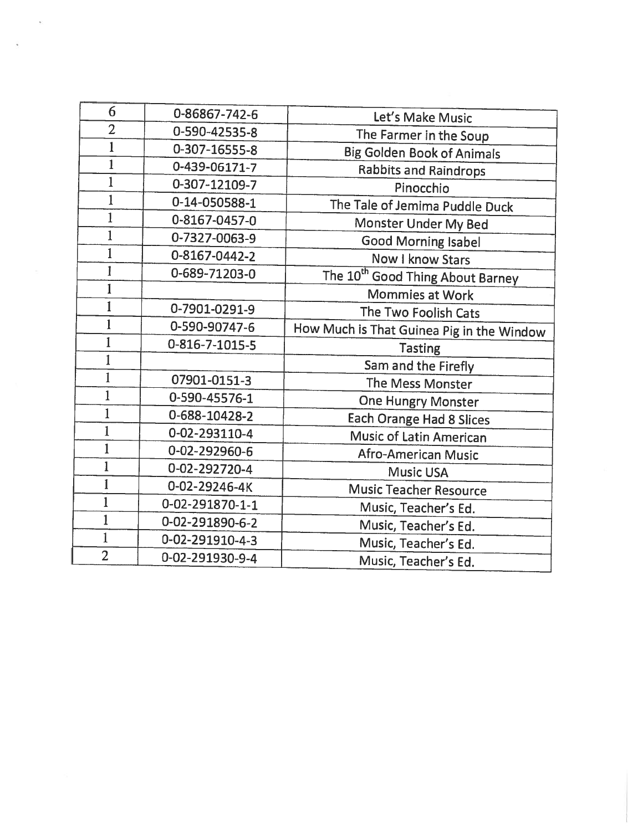| 6              | 0-86867-742-6   | Let's Make Music                             |
|----------------|-----------------|----------------------------------------------|
| $\overline{2}$ | 0-590-42535-8   | The Farmer in the Soup                       |
| $\mathbf{1}$   | 0-307-16555-8   | <b>Big Golden Book of Animals</b>            |
| $\mathbf{1}$   | 0-439-06171-7   | <b>Rabbits and Raindrops</b>                 |
| $\mathbf{1}$   | 0-307-12109-7   | Pinocchio                                    |
|                | 0-14-050588-1   | The Tale of Jemima Puddle Duck               |
| $\mathbf{1}$   | 0-8167-0457-0   | Monster Under My Bed                         |
| $\mathbf{1}$   | 0-7327-0063-9   | <b>Good Morning Isabel</b>                   |
| $\mathbf{1}$   | 0-8167-0442-2   | Now I know Stars                             |
| 1              | 0-689-71203-0   | The 10 <sup>th</sup> Good Thing About Barney |
| 1              |                 | Mommies at Work                              |
| $\mathbf{1}$   | 0-7901-0291-9   | The Two Foolish Cats                         |
| $\mathbf{1}$   | 0-590-90747-6   | How Much is That Guinea Pig in the Window    |
| 1              | 0-816-7-1015-5  | <b>Tasting</b>                               |
| 1              |                 | Sam and the Firefly                          |
| 1              | 07901-0151-3    | The Mess Monster                             |
| $\mathbf{1}$   | 0-590-45576-1   | <b>One Hungry Monster</b>                    |
| $\mathbf{1}$   | 0-688-10428-2   | Each Orange Had 8 Slices                     |
| $\mathbf{1}$   | 0-02-293110-4   | <b>Music of Latin American</b>               |
| $\mathbf{1}$   | 0-02-292960-6   | Afro-American Music                          |
| $\mathbf{1}$   | 0-02-292720-4   | <b>Music USA</b>                             |
| $\mathbf{1}$   | 0-02-29246-4K   | <b>Music Teacher Resource</b>                |
| $\mathbf{1}$   | 0-02-291870-1-1 | Music, Teacher's Ed.                         |
| $\mathbf{1}$   | 0-02-291890-6-2 | Music, Teacher's Ed.                         |
| $\mathbf{1}$   | 0-02-291910-4-3 | Music, Teacher's Ed.                         |
| $\overline{2}$ | 0-02-291930-9-4 | Music, Teacher's Ed.                         |
|                |                 |                                              |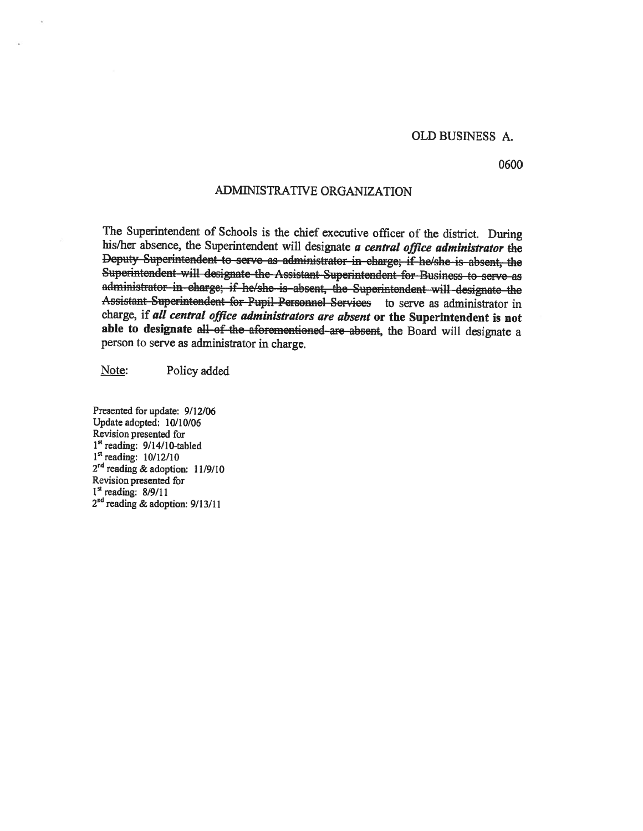#### OLD BUSINESS A.

0600

## ADMINISTRATIVE ORGANIZATION

The Superintendent of Schools is the chief executive officer of the district. During his/her absence, the Superintendent will designate a central office administrator the Deputy Superintendent to serve as administrator in charge; if he/she is absent, the Superintendent will designate the Assistant Superintendent for Business to serve as administrator in charge; if he/she is absent, the Superintendent will designate the Assistant Superintendent for Pupil Personnel Services to serve as administrator in charge, if all central office administrators are absent or the Superintendent is not able to designate all of the aforementioned are absent, the Board will designate a person to serve as administrator in charge.

Note: Policy added

Presented for update: 9/12/06 Update adopted: 10/10/06  $1<sup>st</sup>$  reading: 9/14/10-tabled  $1<sup>st</sup>$  reading:  $10/12/10$ 2<sup>nd</sup> reading & adoption: 11/9/10 Revision presented for  $1<sup>st</sup>$  reading: 8/9/11  $2<sup>nd</sup>$  reading & adoption: 9/13/11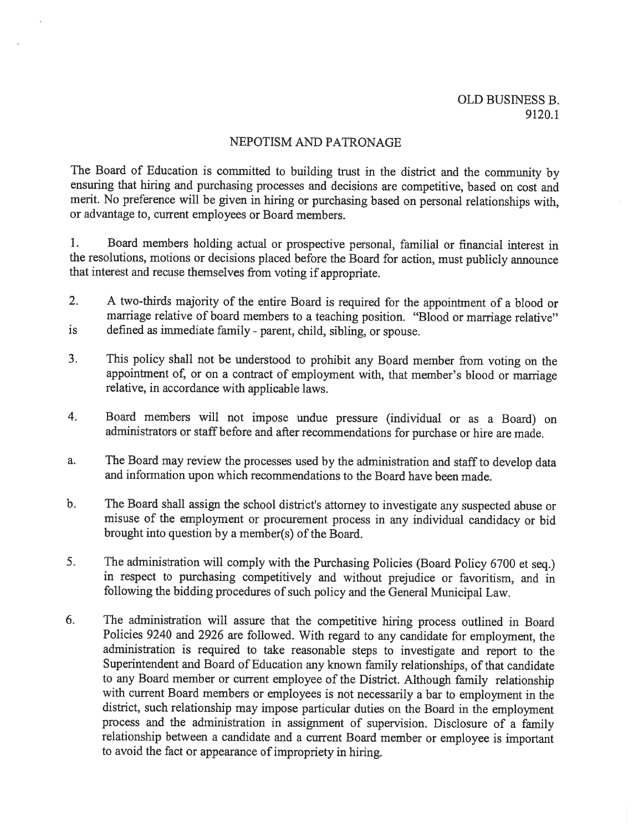## NEPOTISM AND PATRONAGE

The Board of Education is committed to building trust in the district and the community by ensuring that hiring and purchasing processes and decisions are competitive, based on cost and merit. No preference will be <sup>g</sup>iven in hiring or purchasing based on personal relationships with, or advantage to, current employees or Board members.

1. Board members holding actual or prospective personal, familial or financial interest in the resolutions, motions or decisions <sup>p</sup>laced before the Board for action, must publicly announce that interest and recuse themselves from voting if appropriate.

- 2. <sup>A</sup> two-thirds majority of the entire Board is required for the appointment of <sup>a</sup> blood or marriage relative of board members to a teaching position. "Blood or marriage relative" is defined as immediate family - parent, child, sibling, or spouse.
- 3. This policy shall not be understood to prohibit any Board member from voting on the appointment of, or on <sup>a</sup> contract of employment with, that member's blood or marriage relative, in accordance with applicable laws.
- 4. Board members will not impose undue pressure (individual or as <sup>a</sup> Board) on administrators or staff before and after recommendations for purchase or hire are made.
- a. The Board may review the processes used by the administration and staff to develop data and information upon which recommendations to the Board have been made.
- b. The Board shall assign the school district's attorney to investigate any suspected abuse or misuse of the employment or procurement process in any individual candidacy or bid brought into question by <sup>a</sup> member(s) of the Board.
- 5. The administration will comply with the Purchasing Policies (Board Policy <sup>6700</sup> et seq.) in respect to purchasing competitively and without prejudice or favoritism, and in following the bidding procedures of such policy and the General Municipal Law.
- 6. The administration will assure that the competitive hiring process outlined in Board Policies <sup>9240</sup> and <sup>2926</sup> are followed. With regard to any candidate for employment, the administration is required to take reasonable steps to investigate and report to the Superintendent and Board of Education any known family relationships, of that candidate to any Board member or current employee of the District. Although family relationship with current Board members or employees is not necessarily <sup>a</sup> bar to employment in the district, such relationship may impose particular duties on the Board in the employment process and the administration in assignment of supervision. Disclosure of <sup>a</sup> family relationship between <sup>a</sup> candidate and <sup>a</sup> current Board member or employee is important to avoid the fact or appearance of impropriety in hiring.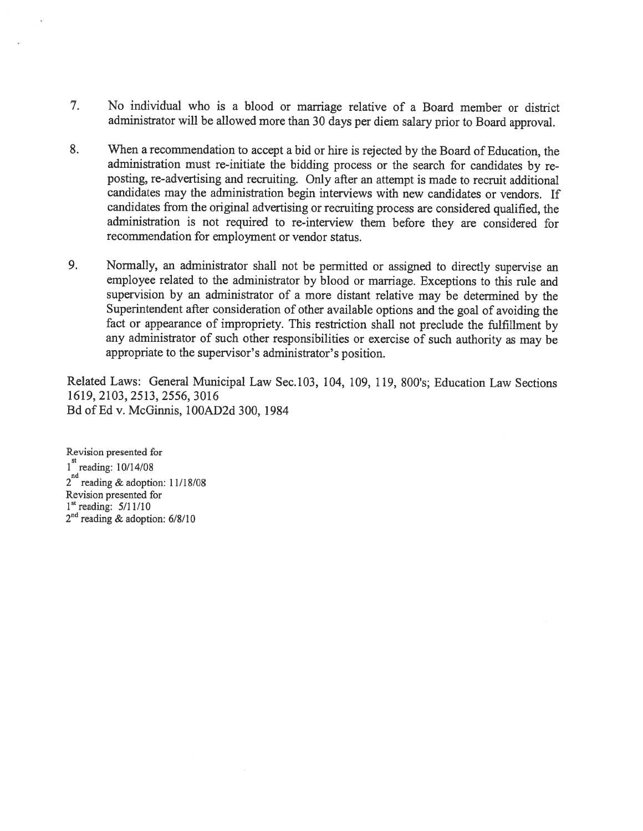- 7. No individual who is <sup>a</sup> blood or marriage relative of <sup>a</sup> Board member or district administrator will be allowed more than <sup>30</sup> days per diem salary prior to Board approval.
- 8. When <sup>a</sup> recommendation to accept <sup>a</sup> bid or hire is rejected by the Board of Education, the administration must re-initiate the bidding process or the search for candidates by re posting, re-advertising and recruiting. Only after an attempt is made to recruit additional candidates may the administration begin interviews with new candidates or vendors. If candidates from the original advertising or recruiting process are considered qualified, the administration is not required to re-interview them before they are considered for recommendation for employment or vendor status.
- 9. Normally, an administrator shall not be permitted or assigned to directly supervise an employee related to the administrator by blood or marriage. Exceptions to this rule and supervision by an administrator of <sup>a</sup> more distant relative may be determined by the Superintendent after consideration of other available options and the goa<sup>l</sup> of avoiding the fact or appearance of impropriety. This restriction shall not preclude the fulfillment by any administrator of such other responsibilities or exercise of such authority as may be appropriate to the supervisor's administrator's position.

Related Laws: General Municipal Law Sec.103, 104, 109, 119, 800's; Education Law Sections 1619, 2103, 2513, 2556, 3016 Bd of Ed v. McGinnis, lOOAD2d 300, 1984

Revision presented for 1<sup>st</sup> reading: 10/14/08  $2^{nd}$  reading & adoption: 11/18/08 Revision presented for  $1<sup>st</sup> reading: 5/11/10$ 2<sup>nd</sup> reading & adoption: 6/8/10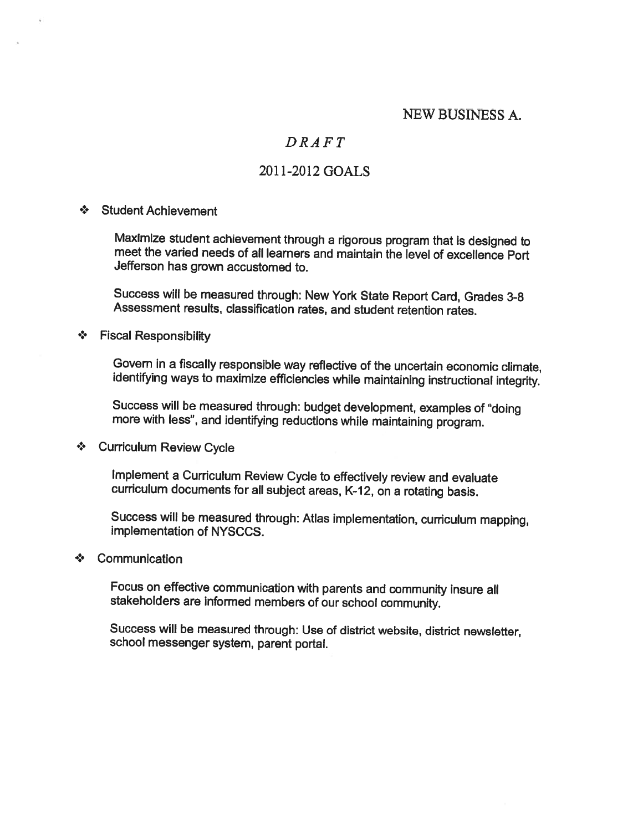## NEW BUSINESS A.

## DRAFT

## 2011-2012 GOALS

## •. Student Achievement

Maximize student achievement through <sup>a</sup> rigorous program that is designed to meet the varied needs of all learners and maintain the level of excellence Port Jefferson has grown accustomed to.

Success will be measured through: New York State Report Card, Grades 3-8 Assessment results, classification rates, and student retention rates.

## •• Fiscal Responsibility

Govern in <sup>a</sup> fiscally responsible way reflective of the uncertain economic climate, identifying ways to maximize efficiencies while maintaining instructional integrity.

Success will be measured through: budget development, examples of 'doing more with less", and identifying reductions while maintaining program.

## ❖ Curriculum Review Cycle

Implement <sup>a</sup> Curriculum Review Cycle to effectively review and evaluate curriculum documents for all subject areas, K-12, on a rotating basis.

Success will be measured through: Atlas implementation, curriculum mapping, implementation of NYSCCS.

## ❖ Communication

Focus on effective communication with parents and community insure all stakeholders are informed members of our school community.

Success will be measured through: Use of district website, district newsletter, school messenger system, parent portal.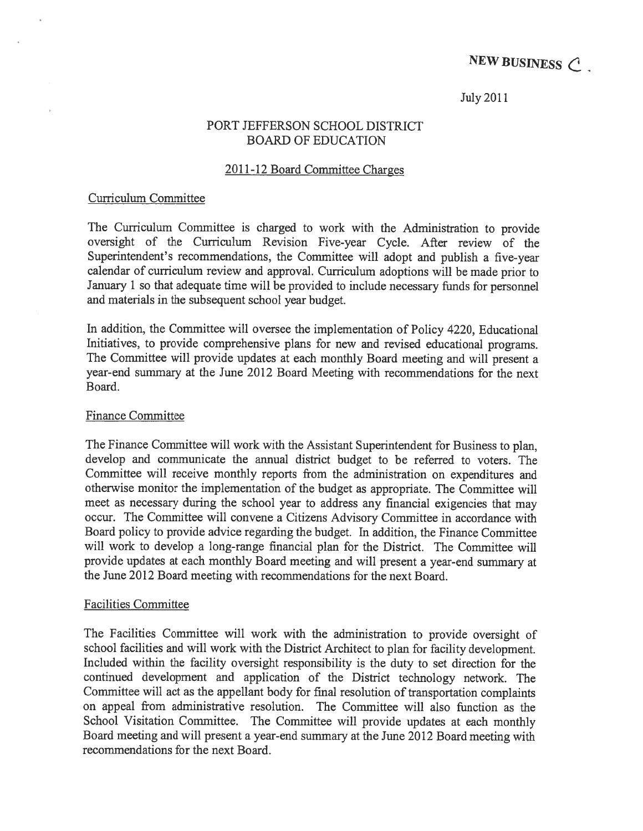NEW BUSINESS  $C$ 

## July2011

## PORT JEFFERSON SCHOOL DISTRICT BOARD OF EDUCATION

## 2011-12 Board Committee Charges

## Curriculum Committee

The Curriculum Committee is charged to work with the Administration to provide oversight of the Curriculum Revision Five-year Cycle. After review of the Superintendent's recommendations, the Committee will adopt and publish <sup>a</sup> five-year calendar of curriculum review and approval. Curriculum adoptions will be made prior to January <sup>1</sup> so that adequate time will be provided to include necessary funds for personne<sup>l</sup> and materials in the subsequent school year budget.

In addition, the Committee will oversee the implementation of Policy 4220, Educational Initiatives, to provide comprehensive <sup>p</sup>lans for new and revised educational programs. The Committee will provide updates at each monthly Board meeting and will presen<sup>t</sup> <sup>a</sup> year-end summary at the June 2012 Board Meeting with recommendations for the next Board.

## Finance Committee

The Finance Committee will work with the Assistant Superintendent for Business to <sup>p</sup>lan, develop and communicate the annual district budget to be referred to voters. The Committee will receive monthly reports from the administration on expenditures and otherwise monitor the implementation of the budget as appropriate. The Committee will meet as necessary during the school year to address any financial exigencies that may occur. The Committee will convene <sup>a</sup> Citizens Advisory Committee in accordance with Board policy to provide advice regarding the budget. In addition, the Finance Committee will work to develop <sup>a</sup> long-range financial plan for the District. The Committee will provide updates at each monthly Board meeting and will presen<sup>t</sup> <sup>a</sup> year-en<sup>d</sup> summary at the June 2012 Board meeting with recommendations for the next Board.

## Facilities Committee

The Facilities Committee will work with the administration to provide oversight of school facilities and will work with the District Architect to <sup>p</sup>lan for facility development. Included within the facility oversight responsibility is the duty to set direction for the continued development and application of the District technology network. The Committee will act as the appellant body for final resolution of transportation complaints on appeal from administrative resolution. The Committee will also function as the School Visitation Committee. The Committee will provide updates at each monthly Board meeting and will presen<sup>t</sup> <sup>a</sup> year-end summary at the June <sup>2012</sup> Board meeting with recommendations for the next Board.